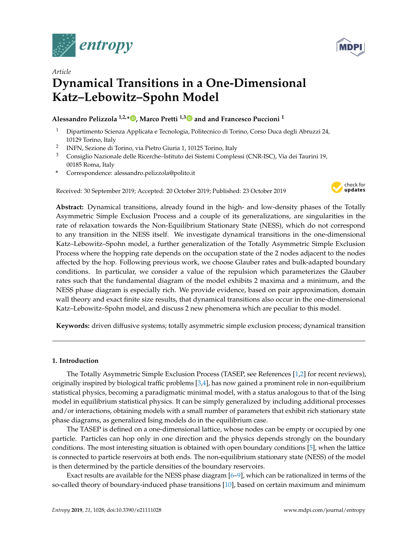



# *Article* **Dynamical Transitions in a One-Dimensional Katz–Lebowitz–Spohn Model**

## **Alessandro Pelizzola 1,2,[\\*](https://orcid.org/0000-0001-6778-0628) , Marco Pretti 1,[3](https://orcid.org/0000-0001-7603-4627) and and Francesco Puccioni <sup>1</sup>**

- <sup>1</sup> Dipartimento Scienza Applicata e Tecnologia, Politecnico di Torino, Corso Duca degli Abruzzi 24, 10129 Torino, Italy
- 2 INFN, Sezione di Torino, via Pietro Giuria 1, 10125 Torino, Italy
- <sup>3</sup> Consiglio Nazionale delle Ricerche–Istituto dei Sistemi Complessi (CNR-ISC), Via dei Taurini 19, 00185 Roma, Italy
- **\*** Correspondence: alessandro.pelizzola@polito.it

Received: 30 September 2019; Accepted: 20 October 2019; Published: 23 October 2019



**Abstract:** Dynamical transitions, already found in the high- and low-density phases of the Totally Asymmetric Simple Exclusion Process and a couple of its generalizations, are singularities in the rate of relaxation towards the Non-Equilibrium Stationary State (NESS), which do not correspond to any transition in the NESS itself. We investigate dynamical transitions in the one-dimensional Katz–Lebowitz–Spohn model, a further generalization of the Totally Asymmetric Simple Exclusion Process where the hopping rate depends on the occupation state of the 2 nodes adjacent to the nodes affected by the hop. Following previous work, we choose Glauber rates and bulk-adapted boundary conditions. In particular, we consider a value of the repulsion which parameterizes the Glauber rates such that the fundamental diagram of the model exhibits 2 maxima and a minimum, and the NESS phase diagram is especially rich. We provide evidence, based on pair approximation, domain wall theory and exact finite size results, that dynamical transitions also occur in the one-dimensional Katz–Lebowitz–Spohn model, and discuss 2 new phenomena which are peculiar to this model.

**Keywords:** driven diffusive systems; totally asymmetric simple exclusion process; dynamical transition

## **1. Introduction**

The Totally Asymmetric Simple Exclusion Process (TASEP, see References [\[1](#page-16-0)[,2\]](#page-16-1) for recent reviews), originally inspired by biological traffic problems [\[3,](#page-16-2)[4\]](#page-16-3), has now gained a prominent role in non-equilibrium statistical physics, becoming a paradigmatic minimal model, with a status analogous to that of the Ising model in equilibrium statistical physics. It can be simply generalized by including additional processes and/or interactions, obtaining models with a small number of parameters that exhibit rich stationary state phase diagrams, as generalized Ising models do in the equilibrium case.

The TASEP is defined on a one-dimensional lattice, whose nodes can be empty or occupied by one particle. Particles can hop only in one direction and the physics depends strongly on the boundary conditions. The most interesting situation is obtained with open boundary conditions [\[5\]](#page-16-4), when the lattice is connected to particle reservoirs at both ends. The non-equilibrium stationary state (NESS) of the model is then determined by the particle densities of the boundary reservoirs.

Exact results are available for the NESS phase diagram [\[6–](#page-16-5)[9\]](#page-16-6), which can be rationalized in terms of the so-called theory of boundary-induced phase transitions [\[10\]](#page-16-7), based on certain maximum and minimum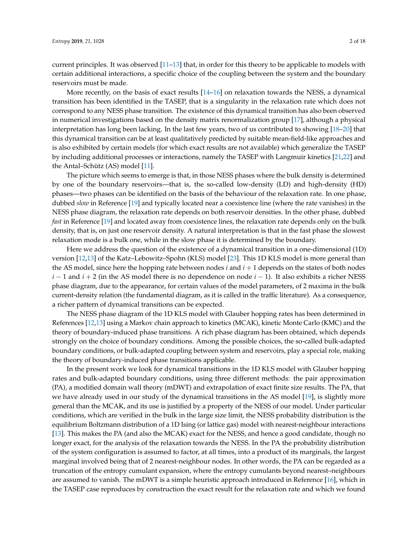current principles. It was observed [\[11–](#page-16-8)[13\]](#page-16-9) that, in order for this theory to be applicable to models with certain additional interactions, a specific choice of the coupling between the system and the boundary reservoirs must be made.

More recently, on the basis of exact results  $[14–16]$  $[14–16]$  on relaxation towards the NESS, a dynamical transition has been identified in the TASEP, that is a singularity in the relaxation rate which does not correspond to any NESS phase transition. The existence of this dynamical transition has also been observed in numerical investigations based on the density matrix renormalization group [\[17\]](#page-16-12), although a physical interpretation has long been lacking. In the last few years, two of us contributed to showing [\[18](#page-16-13)[–20\]](#page-17-0) that this dynamical transition can be at least qualitatively predicted by suitable mean-field-like approaches and is also exhibited by certain models (for which exact results are not available) which generalize the TASEP by including additional processes or interactions, namely the TASEP with Langmuir kinetics [\[21](#page-17-1)[,22\]](#page-17-2) and the Antal–Schütz (AS) model [\[11\]](#page-16-8).

The picture which seems to emerge is that, in those NESS phases where the bulk density is determined by one of the boundary reservoirs—that is, the so-called low-density (LD) and high-density (HD) phases—two phases can be identified on the basis of the behaviour of the relaxation rate. In one phase, dubbed *slow* in Reference [\[19\]](#page-16-14) and typically located near a coexistence line (where the rate vanishes) in the NESS phase diagram, the relaxation rate depends on both reservoir densities. In the other phase, dubbed *fast* in Reference [\[19\]](#page-16-14) and located away from coexistence lines, the relaxation rate depends only on the bulk density, that is, on just one reservoir density. A natural interpretation is that in the fast phase the slowest relaxation mode is a bulk one, while in the slow phase it is determined by the boundary.

Here we address the question of the existence of a dynamical transition in a one-dimensional (1D) version [\[12,](#page-16-15)[13\]](#page-16-9) of the Katz–Lebowitz–Spohn (KLS) model [\[23\]](#page-17-3). This 1D KLS model is more general than the AS model, since here the hopping rate between nodes *i* and *i* + 1 depends on the states of both nodes *i* − 1 and *i* + 2 (in the AS model there is no dependence on node *i* − 1). It also exhibits a richer NESS phase diagram, due to the appearance, for certain values of the model parameters, of 2 maxima in the bulk current-density relation (the fundamental diagram, as it is called in the traffic literature). As a consequence, a richer pattern of dynamical transitions can be expected.

The NESS phase diagram of the 1D KLS model with Glauber hopping rates has been determined in References [\[12](#page-16-15)[,13\]](#page-16-9) using a Markov chain approach to kinetics (MCAK), kinetic Monte Carlo (KMC) and the theory of boundary-induced phase transitions. A rich phase diagram has been obtained, which depends strongly on the choice of boundary conditions. Among the possible choices, the so-called bulk-adapted boundary conditions, or bulk-adapted coupling between system and reservoirs, play a special role, making the theory of boundary-induced phase transitions applicable.

In the present work we look for dynamical transitions in the 1D KLS model with Glauber hopping rates and bulk-adapted boundary conditions, using three different methods: the pair approximation (PA), a modified domain wall theory (mDWT) and extrapolation of exact finite size results. The PA, that we have already used in our study of the dynamical transitions in the AS model [\[19\]](#page-16-14), is slightly more general than the MCAK, and its use is justified by a property of the NESS of our model. Under particular conditions, which are verified in the bulk in the large size limit, the NESS probability distribution is the equilibrium Boltzmann distribution of a 1D Ising (or lattice gas) model with nearest-neighbour interactions [\[13\]](#page-16-9). This makes the PA (and also the MCAK) exact for the NESS, and hence a good candidate, though no longer exact, for the analysis of the relaxation towards the NESS. In the PA the probability distribution of the system configuration is assumed to factor, at all times, into a product of its marginals, the largest marginal involved being that of 2 nearest-neighbour nodes. In other words, the PA can be regarded as a truncation of the entropy cumulant expansion, where the entropy cumulants beyond nearest–neighbours are assumed to vanish. The mDWT is a simple heuristic approach introduced in Reference [\[16\]](#page-16-11), which in the TASEP case reproduces by construction the exact result for the relaxation rate and which we found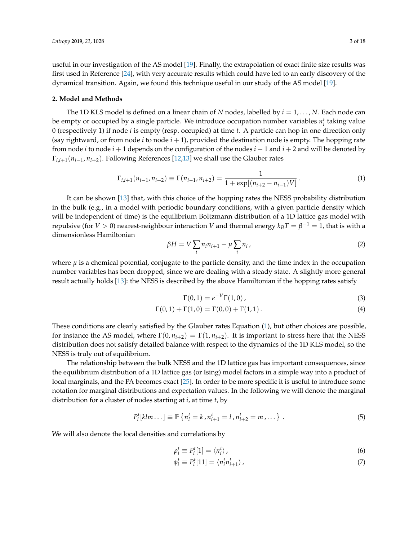useful in our investigation of the AS model [\[19\]](#page-16-14). Finally, the extrapolation of exact finite size results was first used in Reference [\[24\]](#page-17-4), with very accurate results which could have led to an early discovery of the dynamical transition. Again, we found this technique useful in our study of the AS model [\[19\]](#page-16-14).

#### **2. Model and Methods**

The 1D KLS model is defined on a linear chain of *N* nodes, labelled by *i* = 1, . . . , *N*. Each node can be empty or occupied by a single particle. We introduce occupation number variables  $n_i^t$  taking value 0 (respectively 1) if node *i* is empty (resp. occupied) at time *t*. A particle can hop in one direction only (say rightward, or from node *i* to node  $i + 1$ ), provided the destination node is empty. The hopping rate from node *i* to node *i* + 1 depends on the configuration of the nodes *i* − 1 and *i* + 2 and will be denoted by Γ*i*,*i*+1(*ni*−<sup>1</sup> , *ni*+2). Following References [\[12](#page-16-15)[,13\]](#page-16-9) we shall use the Glauber rates

<span id="page-2-0"></span>
$$
\Gamma_{i,i+1}(n_{i-1}, n_{i+2}) \equiv \Gamma(n_{i-1}, n_{i+2}) = \frac{1}{1 + \exp[(n_{i+2} - n_{i-1})V]}.
$$
\n(1)

It can be shown [\[13\]](#page-16-9) that, with this choice of the hopping rates the NESS probability distribution in the bulk (e.g., in a model with periodic boundary conditions, with a given particle density which will be independent of time) is the equilibrium Boltzmann distribution of a 1D lattice gas model with repulsive (for  $V > 0$ ) nearest-neighbour interaction  $V$  and thermal energy  $k_B T = \beta^{-1} = 1$ , that is with a dimensionless Hamiltonian

<span id="page-2-1"></span>
$$
\beta H = V \sum_{i} n_i n_{i+1} - \mu \sum_{i} n_i, \qquad (2)
$$

where  $\mu$  is a chemical potential, conjugate to the particle density, and the time index in the occupation number variables has been dropped, since we are dealing with a steady state. A slightly more general result actually holds [\[13\]](#page-16-9): the NESS is described by the above Hamiltonian if the hopping rates satisfy

$$
\Gamma(0,1) = e^{-V}\Gamma(1,0),
$$
\n(3)

$$
\Gamma(0,1) + \Gamma(1,0) = \Gamma(0,0) + \Gamma(1,1).
$$
 (4)

These conditions are clearly satisfied by the Glauber rates Equation [\(1\)](#page-2-0), but other choices are possible, for instance the AS model, where  $\Gamma(0, n_{i+2}) = \Gamma(1, n_{i+2})$ . It is important to stress here that the NESS distribution does not satisfy detailed balance with respect to the dynamics of the 1D KLS model, so the NESS is truly out of equilibrium.

The relationship between the bulk NESS and the 1D lattice gas has important consequences, since the equilibrium distribution of a 1D lattice gas (or Ising) model factors in a simple way into a product of local marginals, and the PA becomes exact [\[25\]](#page-17-5). In order to be more specific it is useful to introduce some notation for marginal distributions and expectation values. In the following we will denote the marginal distribution for a cluster of nodes starting at *i*, at time *t*, by

$$
P_i^t[klm...] \equiv \mathbb{P}\left\{n_i^t = k, n_{i+1}^t = l, n_{i+2}^t = m, \dots\right\}.
$$
 (5)

We will also denote the local densities and correlations by

<span id="page-2-3"></span><span id="page-2-2"></span>
$$
\rho_i^t \equiv P_i^t[1] = \langle n_i^t \rangle \tag{6}
$$

$$
\phi_i^t \equiv P_i^t[11] = \langle n_i^t n_{i+1}^t \rangle \tag{7}
$$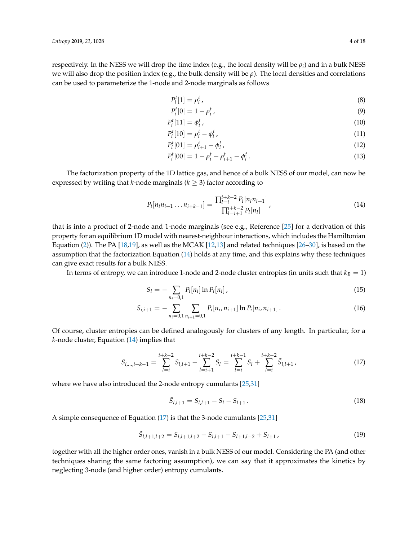respectively. In the NESS we will drop the time index (e.g., the local density will be  $\rho_i$ ) and in a bulk NESS we will also drop the position index (e.g., the bulk density will be *ρ*). The local densities and correlations can be used to parameterize the 1-node and 2-node marginals as follows

$$
P_i^t[1] = \rho_i^t,\tag{8}
$$

$$
P_i^t[0] = 1 - \rho_i^t,\tag{9}
$$

$$
P_i^t[11] = \phi_i^t \tag{10}
$$

$$
P_i^t[10] = \rho_i^t - \phi_i^t,\tag{11}
$$

$$
P_i^t[01] = \rho_{i+1}^t - \phi_i^t \tag{12}
$$

$$
P_i^t[00] = 1 - \rho_i^t - \rho_{i+1}^t + \phi_i^t. \tag{13}
$$

The factorization property of the 1D lattice gas, and hence of a bulk NESS of our model, can now be expressed by writing that *k*-node marginals ( $k \geq 3$ ) factor according to

<span id="page-3-0"></span>
$$
P_i[n_i n_{i+1} \dots n_{i+k-1}] = \frac{\prod_{l=i}^{i+k-2} P_l[n_l n_{l+1}]}{\prod_{l=i+1}^{i+k-2} P_l[n_l]},
$$
\n(14)

that is into a product of 2-node and 1-node marginals (see e.g., Reference [\[25\]](#page-17-5) for a derivation of this property for an equilibrium 1D model with nearest-neighbour interactions, which includes the Hamiltonian Equation [\(2\)](#page-2-1)). The PA [\[18,](#page-16-13)[19\]](#page-16-14), as well as the MCAK [\[12,](#page-16-15)[13\]](#page-16-9) and related techniques [\[26–](#page-17-6)[30\]](#page-17-7), is based on the assumption that the factorization Equation [\(14\)](#page-3-0) holds at any time, and this explains why these techniques can give exact results for a bulk NESS.

In terms of entropy, we can introduce 1-node and 2-node cluster entropies (in units such that  $k_B = 1$ )

$$
S_i = -\sum_{n_i=0,1} P_i[n_i] \ln P_i[n_i], \qquad (15)
$$

$$
S_{i,i+1} = -\sum_{n_i=0,1} \sum_{n_{i+1}=0,1} P_i[n_i, n_{i+1}] \ln P_i[n_i, n_{i+1}]. \tag{16}
$$

Of course, cluster entropies can be defined analogously for clusters of any length. In particular, for a *k*-node cluster, Equation [\(14\)](#page-3-0) implies that

<span id="page-3-1"></span>
$$
S_{i,\dots,i+k-1} = \sum_{l=i}^{i+k-2} S_{l,l+1} - \sum_{l=i+1}^{i+k-2} S_l = \sum_{l=i}^{i+k-1} S_l + \sum_{l=i}^{i+k-2} \tilde{S}_{l,l+1} \,, \tag{17}
$$

where we have also introduced the 2-node entropy cumulants [\[25,](#page-17-5)[31\]](#page-17-8)

$$
\tilde{S}_{l,l+1} = S_{l,l+1} - S_l - S_{l+1}.
$$
\n(18)

A simple consequence of Equation [\(17\)](#page-3-1) is that the 3-node cumulants [\[25,](#page-17-5)[31\]](#page-17-8)

$$
\tilde{S}_{l,l+1,l+2} = S_{l,l+1,l+2} - S_{l,l+1} - S_{l+1,l+2} + S_{l+1},
$$
\n(19)

together with all the higher order ones, vanish in a bulk NESS of our model. Considering the PA (and other techniques sharing the same factoring assumption), we can say that it approximates the kinetics by neglecting 3-node (and higher order) entropy cumulants.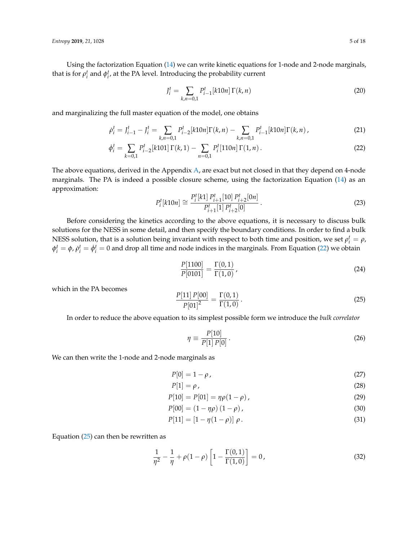Using the factorization Equation [\(14\)](#page-3-0) we can write kinetic equations for 1-node and 2-node marginals, that is for  $\rho_i^t$  and  $\phi_i^t$ , at the PA level. Introducing the probability current

<span id="page-4-4"></span><span id="page-4-2"></span><span id="page-4-0"></span>
$$
J_i^t = \sum_{k,n=0,1} P_{i-1}^t [k10n] \Gamma(k,n)
$$
 (20)

and marginalizing the full master equation of the model, one obtains

$$
\dot{\rho}_i^t = J_{i-1}^t - J_i^t = \sum_{k,n=0,1} P_{i-2}^t [k10n] \Gamma(k,n) - \sum_{k,n=0,1} P_{i-1}^t [k10n] \Gamma(k,n), \qquad (21)
$$

$$
\dot{\phi}_i^t = \sum_{k=0,1} P_{i-2}^t[k101] \Gamma(k,1) - \sum_{n=0,1} P_i^t[110n] \Gamma(1,n).
$$
\n(22)

The above equations, derived in the Appendix [A,](#page-12-0) are exact but not closed in that they depend on 4-node marginals. The PA is indeed a possible closure scheme, using the factorization Equation [\(14\)](#page-3-0) as an approximation:

<span id="page-4-5"></span>
$$
P_i^t[k10n] \cong \frac{P_i^t[k1] \, P_{i+1}^t[10] \, P_{i+2}^t[0n]}{P_{i+1}^t[1] \, P_{i+2}^t[0]} \,. \tag{23}
$$

Before considering the kinetics according to the above equations, it is necessary to discuss bulk solutions for the NESS in some detail, and then specify the boundary conditions. In order to find a bulk NESS solution, that is a solution being invariant with respect to both time and position, we set  $\rho_i^t = \rho$ ,  $\phi_i^t = \phi$ ,  $\dot{\rho}_i^t = \dot{\phi}_i^t = 0$  and drop all time and node indices in the marginals. From Equation [\(22\)](#page-4-0) we obtain

$$
\frac{P[1100]}{P[0101]} = \frac{\Gamma(0,1)}{\Gamma(1,0)},
$$
\n(24)

which in the PA becomes

<span id="page-4-1"></span>
$$
\frac{P[11] P[00]}{P[01]^2} = \frac{\Gamma(0,1)}{\Gamma(1,0)}.
$$
\n(25)

In order to reduce the above equation to its simplest possible form we introduce the *bulk correlator*

<span id="page-4-6"></span>
$$
\eta \equiv \frac{P[10]}{P[1]P[0]} \,. \tag{26}
$$

We can then write the 1-node and 2-node marginals as

$$
P[0] = 1 - \rho \tag{27}
$$

<span id="page-4-3"></span>
$$
P[1] = \rho \tag{28}
$$

$$
P[10] = P[01] = \eta \rho (1 - \rho), \qquad (29)
$$

$$
P[00] = (1 - \eta \rho) (1 - \rho), \qquad (30)
$$

$$
P[11] = [1 - \eta(1 - \rho)] \rho.
$$
 (31)

Equation  $(25)$  can then be rewritten as

$$
\frac{1}{\eta^2} - \frac{1}{\eta} + \rho(1 - \rho) \left[ 1 - \frac{\Gamma(0, 1)}{\Gamma(1, 0)} \right] = 0,
$$
\n(32)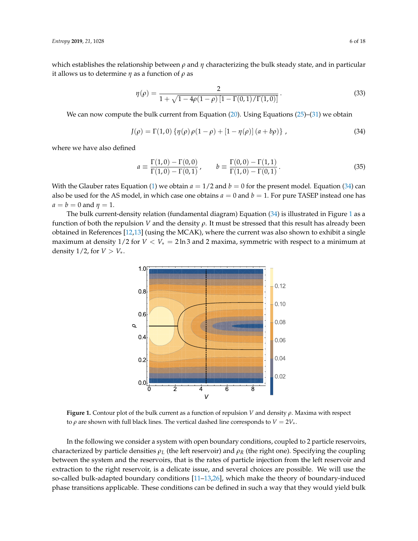which establishes the relationship between *ρ* and *η* characterizing the bulk steady state, and in particular it allows us to determine *η* as a function of *ρ* as

<span id="page-5-2"></span>
$$
\eta(\rho) = \frac{2}{1 + \sqrt{1 - 4\rho(1 - \rho)\left[1 - \Gamma(0, 1)/\Gamma(1, 0)\right]}}.
$$
\n(33)

We can now compute the bulk current from Equation  $(20)$ . Using Equations  $(25)$ – $(31)$  we obtain

<span id="page-5-0"></span>
$$
J(\rho) = \Gamma(1,0) \{ \eta(\rho) \rho(1-\rho) + [1-\eta(\rho)] (a+b\rho) \}, \qquad (34)
$$

where we have also defined

$$
a \equiv \frac{\Gamma(1,0) - \Gamma(0,0)}{\Gamma(1,0) - \Gamma(0,1)}, \qquad b \equiv \frac{\Gamma(0,0) - \Gamma(1,1)}{\Gamma(1,0) - \Gamma(0,1)}.
$$
 (35)

With the Glauber rates Equation [\(1\)](#page-2-0) we obtain  $a = 1/2$  and  $b = 0$  for the present model. Equation [\(34\)](#page-5-0) can also be used for the AS model, in which case one obtains  $a = 0$  and  $b = 1$ . For pure TASEP instead one has  $a = b = 0$  and  $\eta = 1$ .

<span id="page-5-1"></span>The bulk current-density relation (fundamental diagram) Equation [\(34\)](#page-5-0) is illustrated in Figure [1](#page-5-1) as a function of both the repulsion *V* and the density *ρ*. It must be stressed that this result has already been obtained in References [\[12,](#page-16-15)[13\]](#page-16-9) (using the MCAK), where the current was also shown to exhibit a single maximum at density 1/2 for *V* < *V*∗ = 2 ln 3 and 2 maxima, symmetric with respect to a minimum at density  $1/2$ , for  $V > V_*$ .



**Figure 1.** Contour plot of the bulk current as a function of repulsion *V* and density *ρ*. Maxima with respect to *ρ* are shown with full black lines. The vertical dashed line corresponds to  $V = 2V_*,$ 

In the following we consider a system with open boundary conditions, coupled to 2 particle reservoirs, characterized by particle densities  $\rho_L$  (the left reservoir) and  $\rho_R$  (the right one). Specifying the coupling between the system and the reservoirs, that is the rates of particle injection from the left reservoir and extraction to the right reservoir, is a delicate issue, and several choices are possible. We will use the so-called bulk-adapted boundary conditions [\[11](#page-16-8)[–13,](#page-16-9)[26\]](#page-17-6), which make the theory of boundary-induced phase transitions applicable. These conditions can be defined in such a way that they would yield bulk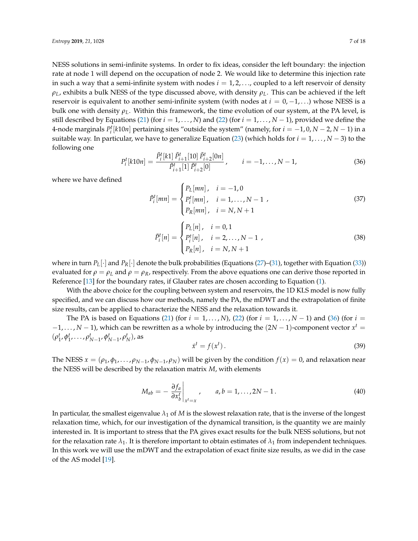NESS solutions in semi-infinite systems. In order to fix ideas, consider the left boundary: the injection rate at node 1 will depend on the occupation of node 2. We would like to determine this injection rate in such a way that a semi-infinite system with nodes  $i = 1, 2, \ldots$ , coupled to a left reservoir of density *ρL*, exhibits a bulk NESS of the type discussed above, with density *ρL*. This can be achieved if the left reservoir is equivalent to another semi-infinite system (with nodes at  $i = 0, -1, \ldots$ ) whose NESS is a bulk one with density  $\rho_L$ . Within this framework, the time evolution of our system, at the PA level, is still described by Equations [\(21\)](#page-4-4) (for  $i = 1, ..., N$ ) and [\(22\)](#page-4-0) (for  $i = 1, ..., N - 1$ ), provided we define the 4-node marginals  $P_i^t[k10n]$  pertaining sites "outside the system" (namely, for  $i = -1, 0, N - 2, N - 1$ ) in a suitable way. In particular, we have to generalize Equation [\(23\)](#page-4-5) (which holds for  $i = 1, ..., N - 3$ ) to the following one

<span id="page-6-0"></span>
$$
P_i^t[k10n] = \frac{\tilde{P}_i^t[k1] \tilde{P}_{i+1}^t[10] \tilde{P}_{i+2}^t[0n]}{\tilde{P}_{i+1}^t[1] \tilde{P}_{i+2}^t[0]}, \qquad i = -1, \dots, N-1,
$$
\n(36)

where we have defined

<span id="page-6-1"></span>
$$
\tilde{P}_i^t[mn] = \begin{cases}\nP_L[mn], & i = -1, 0 \\
P_i^t[mn], & i = 1, \dots, N-1 \\
P_R[mn], & i = N, N+1\n\end{cases}\n\tag{37}
$$

<span id="page-6-2"></span>
$$
\tilde{P}_i^t[n] = \begin{cases}\nP_L[n], & i = 0, 1 \\
P_i^t[n], & i = 2, \dots, N - 1 \\
P_R[n], & i = N, N + 1\n\end{cases} \tag{38}
$$

where in turn  $P_L[\cdot]$  and  $P_R[\cdot]$  denote the bulk probabilities (Equations [\(27\)](#page-4-6)–[\(31\)](#page-4-3), together with Equation [\(33\)](#page-5-2)) evaluated for  $\rho = \rho_L$  and  $\rho = \rho_R$ , respectively. From the above equations one can derive those reported in Reference [\[13\]](#page-16-9) for the boundary rates, if Glauber rates are chosen according to Equation [\(1\)](#page-2-0).

With the above choice for the coupling between system and reservoirs, the 1D KLS model is now fully specified, and we can discuss how our methods, namely the PA, the mDWT and the extrapolation of finite size results, can be applied to characterize the NESS and the relaxation towards it.

The PA is based on Equations [\(21\)](#page-4-4) (for  $i = 1, \ldots, N$ ), [\(22\)](#page-4-0) (for  $i = 1, \ldots, N - 1$ ) and [\(36\)](#page-6-0) (for  $i =$  $-1, \ldots, N-1$ ), which can be rewritten as a whole by introducing the  $(2N-1)$ -component vector  $x^t =$  $(\rho_1^t, \phi_1^t, \ldots, \rho_{N-1}^t, \phi_{N-1}^t, \rho_N^t)$ , as

$$
\dot{x}^t = f(x^t). \tag{39}
$$

The NESS  $x = (\rho_1, \rho_1, \ldots, \rho_{N-1}, \rho_{N-1}, \rho_N)$  will be given by the condition  $f(x) = 0$ , and relaxation near the NESS will be described by the relaxation matrix *M*, with elements

$$
M_{ab} = -\left. \frac{\partial f_a}{\partial x_b^t} \right|_{x^t = x}, \qquad a, b = 1, \dots, 2N - 1. \tag{40}
$$

In particular, the smallest eigenvalue  $\lambda_1$  of *M* is the slowest relaxation rate, that is the inverse of the longest relaxation time, which, for our investigation of the dynamical transition, is the quantity we are mainly interested in. It is important to stress that the PA gives exact results for the bulk NESS solutions, but not for the relaxation rate  $\lambda_1$ . It is therefore important to obtain estimates of  $\lambda_1$  from independent techniques. In this work we will use the mDWT and the extrapolation of exact finite size results, as we did in the case of the AS model [\[19\]](#page-16-14).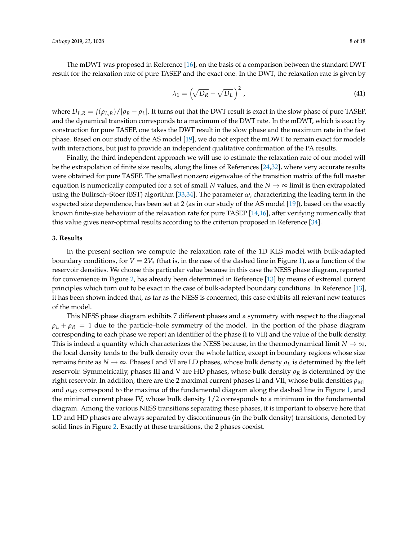The mDWT was proposed in Reference [\[16\]](#page-16-11), on the basis of a comparison between the standard DWT result for the relaxation rate of pure TASEP and the exact one. In the DWT, the relaxation rate is given by

$$
\lambda_1 = \left(\sqrt{D_R} - \sqrt{D_L}\right)^2,\tag{41}
$$

where  $D_{L,R} = J(\rho_{L,R})/|\rho_R - \rho_L|$ . It turns out that the DWT result is exact in the slow phase of pure TASEP, and the dynamical transition corresponds to a maximum of the DWT rate. In the mDWT, which is exact by construction for pure TASEP, one takes the DWT result in the slow phase and the maximum rate in the fast phase. Based on our study of the AS model [\[19\]](#page-16-14), we do not expect the mDWT to remain exact for models with interactions, but just to provide an independent qualitative confirmation of the PA results.

Finally, the third independent approach we will use to estimate the relaxation rate of our model will be the extrapolation of finite size results, along the lines of References [\[24,](#page-17-4)[32\]](#page-17-9), where very accurate results were obtained for pure TASEP. The smallest nonzero eigenvalue of the transition matrix of the full master equation is numerically computed for a set of small *N* values, and the  $N \to \infty$  limit is then extrapolated using the Bulirsch–Stoer (BST) algorithm [\[33,](#page-17-10)[34\]](#page-17-11). The parameter *ω*, characterizing the leading term in the expected size dependence, has been set at 2 (as in our study of the AS model [\[19\]](#page-16-14)), based on the exactly known finite-size behaviour of the relaxation rate for pure TASEP [\[14](#page-16-10)[,16\]](#page-16-11), after verifying numerically that this value gives near-optimal results according to the criterion proposed in Reference [\[34\]](#page-17-11).

## **3. Results**

In the present section we compute the relaxation rate of the 1D KLS model with bulk-adapted boundary conditions, for  $V = 2V_*$  (that is, in the case of the dashed line in Figure [1\)](#page-5-1), as a function of the reservoir densities. We choose this particular value because in this case the NESS phase diagram, reported for convenience in Figure [2,](#page-8-0) has already been determined in Reference [\[13\]](#page-16-9) by means of extremal current principles which turn out to be exact in the case of bulk-adapted boundary conditions. In Reference [\[13\]](#page-16-9), it has been shown indeed that, as far as the NESS is concerned, this case exhibits all relevant new features of the model.

This NESS phase diagram exhibits 7 different phases and a symmetry with respect to the diagonal  $\rho_L + \rho_R = 1$  due to the particle–hole symmetry of the model. In the portion of the phase diagram corresponding to each phase we report an identifier of the phase (I to VII) and the value of the bulk density. This is indeed a quantity which characterizes the NESS because, in the thermodynamical limit  $N \to \infty$ , the local density tends to the bulk density over the whole lattice, except in boundary regions whose size remains finite as *N* → ∞. Phases I and VI are LD phases, whose bulk density *ρ<sup>L</sup>* is determined by the left reservoir. Symmetrically, phases III and V are HD phases, whose bulk density *ρ<sup>R</sup>* is determined by the right reservoir. In addition, there are the 2 maximal current phases II and VII, whose bulk densities  $\rho_{M1}$ and *ρM*<sup>2</sup> correspond to the maxima of the fundamental diagram along the dashed line in Figure [1,](#page-5-1) and the minimal current phase IV, whose bulk density 1/2 corresponds to a minimum in the fundamental diagram. Among the various NESS transitions separating these phases, it is important to observe here that LD and HD phases are always separated by discontinuous (in the bulk density) transitions, denoted by solid lines in Figure [2.](#page-8-0) Exactly at these transitions, the 2 phases coexist.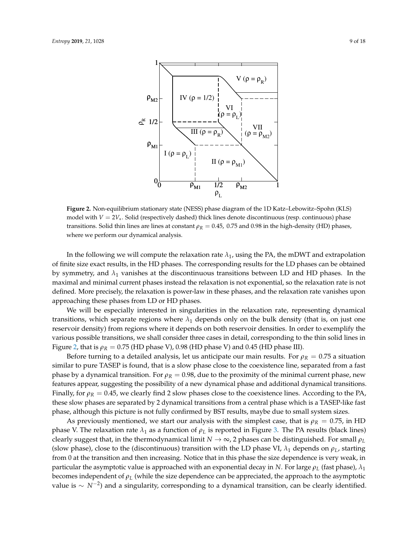<span id="page-8-0"></span>

**Figure 2.** Non-equilibrium stationary state (NESS) phase diagram of the 1D Katz–Lebowitz–Spohn (KLS) model with *V* = 2*V*∗. Solid (respectively dashed) thick lines denote discontinuous (resp. continuous) phase transitions. Solid thin lines are lines at constant  $ρ<sub>R</sub> = 0.45$ , 0.75 and 0.98 in the high-density (HD) phases, where we perform our dynamical analysis.

In the following we will compute the relaxation rate  $\lambda_1$ , using the PA, the mDWT and extrapolation of finite size exact results, in the HD phases. The corresponding results for the LD phases can be obtained by symmetry, and  $\lambda_1$  vanishes at the discontinuous transitions between LD and HD phases. In the maximal and minimal current phases instead the relaxation is not exponential, so the relaxation rate is not defined. More precisely, the relaxation is power-law in these phases, and the relaxation rate vanishes upon approaching these phases from LD or HD phases.

We will be especially interested in singularities in the relaxation rate, representing dynamical transitions, which separate regions where  $\lambda_1$  depends only on the bulk density (that is, on just one reservoir density) from regions where it depends on both reservoir densities. In order to exemplify the various possible transitions, we shall consider three cases in detail, corresponding to the thin solid lines in Figure [2,](#page-8-0) that is  $\rho_R = 0.75$  (HD phase V), 0.98 (HD phase V) and 0.45 (HD phase III).

Before turning to a detailed analysis, let us anticipate our main results. For  $\rho_R = 0.75$  a situation similar to pure TASEP is found, that is a slow phase close to the coexistence line, separated from a fast phase by a dynamical transition. For  $\rho_R = 0.98$ , due to the proximity of the minimal current phase, new features appear, suggesting the possibility of a new dynamical phase and additional dynamical transitions. Finally, for  $\rho_R = 0.45$ , we clearly find 2 slow phases close to the coexistence lines. According to the PA, these slow phases are separated by 2 dynamical transitions from a central phase which is a TASEP-like fast phase, although this picture is not fully confirmed by BST results, maybe due to small system sizes.

As previously mentioned, we start our analysis with the simplest case, that is  $\rho_R = 0.75$ , in HD phase V. The relaxation rate  $λ_1$  as a function of  $ρ_L$  is reported in Figure [3.](#page-9-0) The PA results (black lines) clearly suggest that, in the thermodynamical limit *N* → ∞, 2 phases can be distinguished. For small *ρ<sup>L</sup>* (slow phase), close to the (discontinuous) transition with the LD phase VI,  $\lambda_1$  depends on  $\rho_L$ , starting from 0 at the transition and then increasing. Notice that in this phase the size dependence is very weak, in particular the asymptotic value is approached with an exponential decay in *N*. For large  $\rho_L$  (fast phase),  $\lambda_1$ becomes independent of *ρ<sup>L</sup>* (while the size dependence can be appreciated, the approach to the asymptotic value is ∼ *N*−<sup>2</sup> ) and a singularity, corresponding to a dynamical transition, can be clearly identified.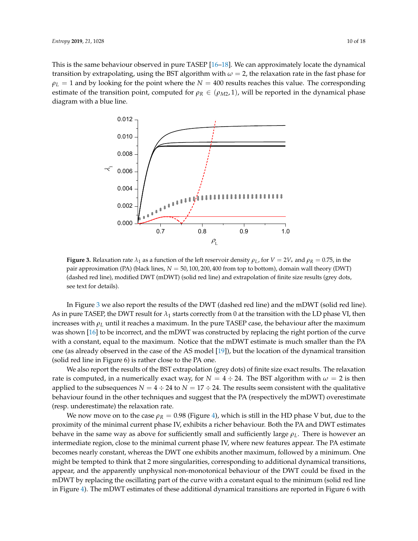This is the same behaviour observed in pure TASEP [\[16–](#page-16-11)[18\]](#page-16-13). We can approximately locate the dynamical transition by extrapolating, using the BST algorithm with  $\omega = 2$ , the relaxation rate in the fast phase for  $\rho_L = 1$  and by looking for the point where the  $N = 400$  results reaches this value. The corresponding estimate of the transition point, computed for  $\rho_R \in (\rho_{M2}, 1)$ , will be reported in the dynamical phase diagram with a blue line.

<span id="page-9-0"></span>

**Figure 3.** Relaxation rate  $\lambda_1$  as a function of the left reservoir density  $\rho_L$ , for  $V = 2V_*$  and  $\rho_R = 0.75$ , in the pair approximation (PA) (black lines, *N* = 50, 100, 200, 400 from top to bottom), domain wall theory (DWT) (dashed red line), modified DWT (mDWT) (solid red line) and extrapolation of finite size results (grey dots, see text for details).

In Figure [3](#page-9-0) we also report the results of the DWT (dashed red line) and the mDWT (solid red line). As in pure TASEP, the DWT result for  $\lambda_1$  starts correctly from 0 at the transition with the LD phase VI, then increases with  $\rho_L$  until it reaches a maximum. In the pure TASEP case, the behaviour after the maximum was shown [\[16\]](#page-16-11) to be incorrect, and the mDWT was constructed by replacing the right portion of the curve with a constant, equal to the maximum. Notice that the mDWT estimate is much smaller than the PA one (as already observed in the case of the AS model [\[19\]](#page-16-14)), but the location of the dynamical transition (solid red line in Figure 6) is rather close to the PA one.

We also report the results of the BST extrapolation (grey dots) of finite size exact results. The relaxation rate is computed, in a numerically exact way, for  $N = 4 \div 24$ . The BST algorithm with  $\omega = 2$  is then applied to the subsequences  $N = 4 \div 24$  to  $N = 17 \div 24$ . The results seem consistent with the qualitative behaviour found in the other techniques and suggest that the PA (respectively the mDWT) overestimate (resp. underestimate) the relaxation rate.

We now move on to the case  $\rho_R = 0.98$  (Figure [4\)](#page-10-0), which is still in the HD phase V but, due to the proximity of the minimal current phase IV, exhibits a richer behaviour. Both the PA and DWT estimates behave in the same way as above for sufficiently small and sufficiently large  $\rho_L$ . There is however an intermediate region, close to the minimal current phase IV, where new features appear. The PA estimate becomes nearly constant, whereas the DWT one exhibits another maximum, followed by a minimum. One might be tempted to think that 2 more singularities, corresponding to additional dynamical transitions, appear, and the apparently unphysical non-monotonical behaviour of the DWT could be fixed in the mDWT by replacing the oscillating part of the curve with a constant equal to the minimum (solid red line in Figure [4\)](#page-10-0). The mDWT estimates of these additional dynamical transitions are reported in Figure 6 with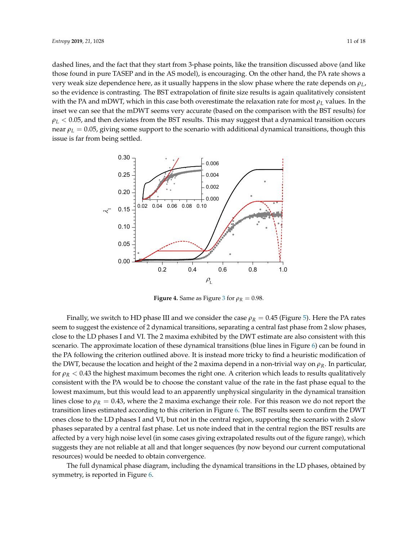dashed lines, and the fact that they start from 3-phase points, like the transition discussed above (and like those found in pure TASEP and in the AS model), is encouraging. On the other hand, the PA rate shows a very weak size dependence here, as it usually happens in the slow phase where the rate depends on *ρL*, so the evidence is contrasting. The BST extrapolation of finite size results is again qualitatively consistent with the PA and mDWT, which in this case both overestimate the relaxation rate for most *ρ<sup>L</sup>* values. In the inset we can see that the mDWT seems very accurate (based on the comparison with the BST results) for  $\rho_L < 0.05$ , and then deviates from the BST results. This may suggest that a dynamical transition occurs near  $\rho_L = 0.05$ , giving some support to the scenario with additional dynamical transitions, though this issue is far from being settled.

<span id="page-10-0"></span>

**Figure 4.** Same as Figure [3](#page-9-0) for  $\rho_R = 0.98$ .

Finally, we switch to HD phase III and we consider the case  $\rho_R = 0.45$  (Figure [5\)](#page-11-0). Here the PA rates seem to suggest the existence of 2 dynamical transitions, separating a central fast phase from 2 slow phases, close to the LD phases I and VI. The 2 maxima exhibited by the DWT estimate are also consistent with this scenario. The approximate location of these dynamical transitions (blue lines in Figure [6\)](#page-11-1) can be found in the PA following the criterion outlined above. It is instead more tricky to find a heuristic modification of the DWT, because the location and height of the 2 maxima depend in a non-trivial way on *ρR*. In particular, for  $ρ<sub>R</sub> < 0.43$  the highest maximum becomes the right one. A criterion which leads to results qualitatively consistent with the PA would be to choose the constant value of the rate in the fast phase equal to the lowest maximum, but this would lead to an apparently unphysical singularity in the dynamical transition lines close to  $\rho_R = 0.43$ , where the 2 maxima exchange their role. For this reason we do not report the transition lines estimated according to this criterion in Figure [6.](#page-11-1) The BST results seem to confirm the DWT ones close to the LD phases I and VI, but not in the central region, supporting the scenario with 2 slow phases separated by a central fast phase. Let us note indeed that in the central region the BST results are affected by a very high noise level (in some cases giving extrapolated results out of the figure range), which suggests they are not reliable at all and that longer sequences (by now beyond our current computational resources) would be needed to obtain convergence.

The full dynamical phase diagram, including the dynamical transitions in the LD phases, obtained by symmetry, is reported in Figure [6.](#page-11-1)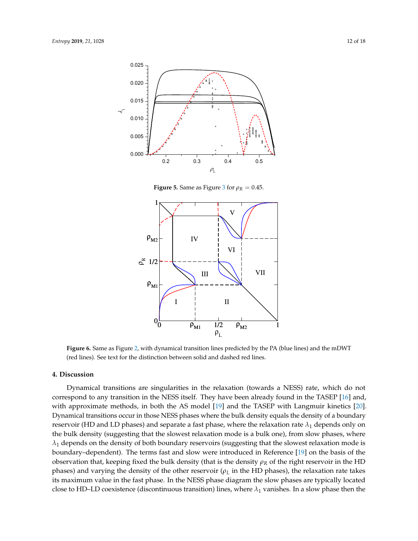<span id="page-11-0"></span>

**Figure 5.** Same as Figure [3](#page-9-0) for  $\rho_R = 0.45$ .

<span id="page-11-1"></span>

**Figure 6.** Same as Figure [2,](#page-8-0) with dynamical transition lines predicted by the PA (blue lines) and the mDWT (red lines). See text for the distinction between solid and dashed red lines.

## **4. Discussion**

Dynamical transitions are singularities in the relaxation (towards a NESS) rate, which do not correspond to any transition in the NESS itself. They have been already found in the TASEP [\[16\]](#page-16-11) and, with approximate methods, in both the AS model [\[19\]](#page-16-14) and the TASEP with Langmuir kinetics [\[20\]](#page-17-0). Dynamical transitions occur in those NESS phases where the bulk density equals the density of a boundary reservoir (HD and LD phases) and separate a fast phase, where the relaxation rate  $\lambda_1$  depends only on the bulk density (suggesting that the slowest relaxation mode is a bulk one), from slow phases, where  $\lambda_1$  depends on the density of both boundary reservoirs (suggesting that the slowest relaxation mode is boundary–dependent). The terms fast and slow were introduced in Reference [\[19\]](#page-16-14) on the basis of the observation that, keeping fixed the bulk density (that is the density *ρ<sup>R</sup>* of the right reservoir in the HD phases) and varying the density of the other reservoir  $(\rho_L)$  in the HD phases), the relaxation rate takes its maximum value in the fast phase. In the NESS phase diagram the slow phases are typically located close to HD–LD coexistence (discontinuous transition) lines, where  $\lambda_1$  vanishes. In a slow phase then the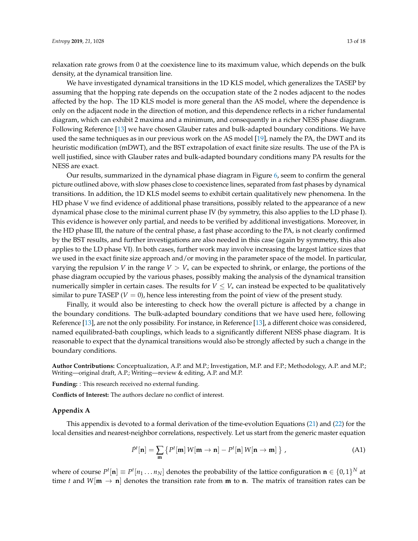relaxation rate grows from 0 at the coexistence line to its maximum value, which depends on the bulk density, at the dynamical transition line.

We have investigated dynamical transitions in the 1D KLS model, which generalizes the TASEP by assuming that the hopping rate depends on the occupation state of the 2 nodes adjacent to the nodes affected by the hop. The 1D KLS model is more general than the AS model, where the dependence is only on the adjacent node in the direction of motion, and this dependence reflects in a richer fundamental diagram, which can exhibit 2 maxima and a minimum, and consequently in a richer NESS phase diagram. Following Reference [\[13\]](#page-16-9) we have chosen Glauber rates and bulk-adapted boundary conditions. We have used the same techniques as in our previous work on the AS model [\[19\]](#page-16-14), namely the PA, the DWT and its heuristic modification (mDWT), and the BST extrapolation of exact finite size results. The use of the PA is well justified, since with Glauber rates and bulk-adapted boundary conditions many PA results for the NESS are exact.

Our results, summarized in the dynamical phase diagram in Figure [6,](#page-11-1) seem to confirm the general picture outlined above, with slow phases close to coexistence lines, separated from fast phases by dynamical transitions. In addition, the 1D KLS model seems to exhibit certain qualitatively new phenomena. In the HD phase V we find evidence of additional phase transitions, possibly related to the appearance of a new dynamical phase close to the minimal current phase IV (by symmetry, this also applies to the LD phase I). This evidence is however only partial, and needs to be verified by additional investigations. Moreover, in the HD phase III, the nature of the central phase, a fast phase according to the PA, is not clearly confirmed by the BST results, and further investigations are also needed in this case (again by symmetry, this also applies to the LD phase VI). In both cases, further work may involve increasing the largest lattice sizes that we used in the exact finite size approach and/or moving in the parameter space of the model. In particular, varying the repulsion *V* in the range  $V > V_*$  can be expected to shrink, or enlarge, the portions of the phase diagram occupied by the various phases, possibly making the analysis of the dynamical transition numerically simpler in certain cases. The results for  $V \leq V_*$  can instead be expected to be qualitatively similar to pure TASEP ( $V = 0$ ), hence less interesting from the point of view of the present study.

Finally, it would also be interesting to check how the overall picture is affected by a change in the boundary conditions. The bulk-adapted boundary conditions that we have used here, following Reference [\[13\]](#page-16-9), are not the only possibility. For instance, in Reference [\[13\]](#page-16-9), a different choice was considered, named equilibrated-bath couplings, which leads to a significantly different NESS phase diagram. It is reasonable to expect that the dynamical transitions would also be strongly affected by such a change in the boundary conditions.

**Author Contributions:** Conceptualization, A.P. and M.P.; Investigation, M.P. and F.P.; Methodology, A.P. and M.P.; Writing—original draft, A.P.; Writing—review & editing, A.P. and M.P.

**Funding:** : This research received no external funding.

**Conflicts of Interest:** The authors declare no conflict of interest.

#### <span id="page-12-0"></span>**Appendix A**

This appendix is devoted to a formal derivation of the time-evolution Equations [\(21\)](#page-4-4) and [\(22\)](#page-4-0) for the local densities and nearest-neighbor correlations, respectively. Let us start from the generic master equation

<span id="page-12-1"></span>
$$
\hat{P}^t[\mathbf{n}] = \sum_{\mathbf{m}} \left\{ P^t[\mathbf{m}] W[\mathbf{m} \to \mathbf{n}] - P^t[\mathbf{n}] W[\mathbf{n} \to \mathbf{m}] \right\}, \tag{A1}
$$

where of course  $P^t[\mathbf{n}] \equiv P^t[n_1 \dots n_N]$  denotes the probability of the lattice configuration  $\mathbf{n} \in \{0,1\}^N$  at time *t* and  $W[\mathbf{m} \to \mathbf{n}]$  denotes the transition rate from **m** to **n**. The matrix of transition rates can be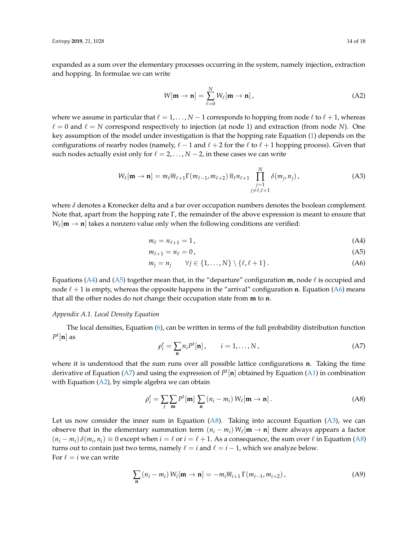expanded as a sum over the elementary processes occurring in the system, namely injection, extraction and hopping. In formulae we can write

<span id="page-13-4"></span>
$$
W[\mathbf{m} \to \mathbf{n}] = \sum_{\ell=0}^{N} W_{\ell}[\mathbf{m} \to \mathbf{n}], \qquad (A2)
$$

where we assume in particular that  $\ell = 1, \ldots, N-1$  corresponds to hopping from node  $\ell$  to  $\ell + 1$ , whereas  $\ell = 0$  and  $\ell = N$  correspond respectively to injection (at node 1) and extraction (from node *N*). One key assumption of the model under investigation is that the hopping rate Equation [\(1\)](#page-2-0) depends on the configurations of nearby nodes (namely,  $\ell - 1$  and  $\ell + 2$  for the  $\ell$  to  $\ell + 1$  hopping process). Given that such nodes actually exist only for  $\ell = 2, \ldots, N - 2$ , in these cases we can write

<span id="page-13-6"></span>
$$
W_{\ell}[\mathbf{m} \to \mathbf{n}] = m_{\ell} \overline{m}_{\ell+1} \Gamma(m_{\ell-1}, m_{\ell+2}) \, \overline{n}_{\ell} n_{\ell+1} \prod_{\substack{j=1 \ j \neq \ell, \ell+1}}^N \delta(m_j, n_j) \,, \tag{A3}
$$

where *δ* denotes a Kronecker delta and a bar over occupation numbers denotes the boolean complement. Note that, apart from the hopping rate  $\Gamma$ , the remainder of the above expression is meant to ensure that  $W_{\ell}[\mathbf{m} \to \mathbf{n}]$  takes a nonzero value only when the following conditions are verified:

<span id="page-13-1"></span><span id="page-13-0"></span>
$$
m_{\ell} = n_{\ell+1} = 1, \tag{A4}
$$

<span id="page-13-2"></span>
$$
m_{\ell+1} = n_{\ell} = 0, \tag{A5}
$$

$$
m_j = n_j \qquad \forall j \in \{1, \dots, N\} \setminus \{\ell, \ell + 1\}.
$$
 (A6)

Equations [\(A4\)](#page-13-0) and [\(A5\)](#page-13-1) together mean that, in the "departure" configuration **m**, node  $\ell$  is occupied and node  $\ell + 1$  is empty, whereas the opposite happens in the "arrival" configuration **n**. Equation [\(A6\)](#page-13-2) means that all the other nodes do not change their occupation state from **m** to **n**.

### *Appendix A.1. Local Density Equation*

The local densities, Equation [\(6\)](#page-2-2), can be written in terms of the full probability distribution function  $P^t[\mathbf{n}]$  as

<span id="page-13-3"></span>
$$
\rho_i^t = \sum_{\mathbf{n}} n_i P^t[\mathbf{n}], \qquad i = 1, \dots, N,
$$
 (A7)

where it is understood that the sum runs over all possible lattice configurations **n**. Taking the time derivative of Equation [\(A7\)](#page-13-3) and using the expression of *P*˙ *t* [**n**] obtained by Equation [\(A1\)](#page-12-1) in combination with Equation  $(A2)$ , by simple algebra we can obtain

<span id="page-13-5"></span>
$$
\dot{\rho}_i^t = \sum_{\ell} \sum_{\mathbf{m}} P^t[\mathbf{m}] \sum_{\mathbf{n}} (n_i - m_i) W_{\ell}[\mathbf{m} \to \mathbf{n}]. \tag{A8}
$$

Let us now consider the inner sum in Equation [\(A8\)](#page-13-5). Taking into account Equation [\(A3\)](#page-13-6), we can observe that in the elementary summation term  $(n_i - m_i) W_\ell[m \to \mathbf{n}]$  there always appears a factor  $(n_i - m_i) \delta(m_i, n_i) \equiv 0$  except when  $i = \ell$  or  $i = \ell + 1$ . As a consequence, the sum over  $\ell$  in Equation [\(A8\)](#page-13-5) turns out to contain just two terms, namely  $\ell = i$  and  $\ell = i - 1$ , which we analyze below. For  $\ell = i$  we can write

<span id="page-13-7"></span>
$$
\sum_{\mathbf{n}} \left( n_i - m_i \right) W_i[\mathbf{m} \to \mathbf{n}] = -m_i \overline{m}_{i+1} \Gamma(m_{i-1}, m_{i+2}), \tag{A9}
$$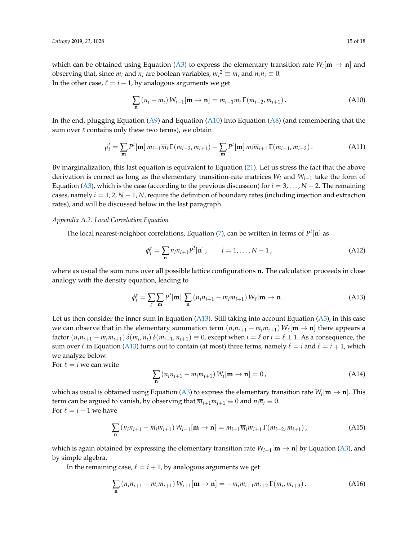which can be obtained using Equation [\(A3\)](#page-13-6) to express the elementary transition rate  $W_i[\mathbf{m} \to \mathbf{n}]$  and observing that, since  $m_i$  and  $n_i$  are boolean variables,  $m_i^2 \equiv m_i$  and  $n_i \overline{n}_i \equiv 0$ . In the other case,  $\ell = i - 1$ , by analogous arguments we get

<span id="page-14-0"></span>
$$
\sum_{\mathbf{n}} \left( n_i - m_i \right) W_{i-1}[\mathbf{m} \to \mathbf{n}] = m_{i-1} \overline{m}_i \Gamma(m_{i-2}, m_{i+1}). \tag{A10}
$$

In the end, plugging Equation [\(A9\)](#page-13-7) and Equation [\(A10\)](#page-14-0) into Equation [\(A8\)](#page-13-5) (and remembering that the sum over  $\ell$  contains only these two terms), we obtain

<span id="page-14-4"></span>
$$
\dot{\rho}_i^t = \sum_{\mathbf{m}} P^t[\mathbf{m}] m_{i-1} \overline{m}_i \Gamma(m_{i-2}, m_{i+1}) - \sum_{\mathbf{m}} P^t[\mathbf{m}] m_i \overline{m}_{i+1} \Gamma(m_{i-1}, m_{i+2}). \tag{A11}
$$

By marginalization, this last equation is equivalent to Equation [\(21\)](#page-4-4). Let us stress the fact that the above derivation is correct as long as the elementary transition-rate matrices *W<sup>i</sup>* and *Wi*−<sup>1</sup> take the form of Equation [\(A3\)](#page-13-6), which is the case (according to the previous discussion) for  $i = 3, \ldots, N - 2$ . The remaining cases, namely *i* = 1, 2, *N* − 1, *N*, require the definition of boundary rates (including injection and extraction rates), and will be discussed below in the last paragraph.

#### *Appendix A.2. Local Correlation Equation*

The local nearest-neighbor correlations, Equation [\(7\)](#page-2-3), can be written in terms of *P t* [**n**] as

$$
\phi_i^t = \sum_{\mathbf{n}} n_i n_{i+1} P^t[\mathbf{n}], \qquad i = 1, ..., N-1,
$$
 (A12)

where as usual the sum runs over all possible lattice configurations **n**. The calculation proceeds in close analogy with the density equation, leading to

<span id="page-14-1"></span>
$$
\dot{\phi}_i^t = \sum_{\ell} \sum_{\mathbf{m}} P^t[\mathbf{m}] \sum_{\mathbf{n}} \left( n_i n_{i+1} - m_i m_{i+1} \right) W_{\ell}[\mathbf{m} \to \mathbf{n}]. \tag{A13}
$$

Let us then consider the inner sum in Equation [\(A13\)](#page-14-1). Still taking into account Equation [\(A3\)](#page-13-6), in this case we can observe that in the elementary summation term  $(n_i n_{i+1} - m_i m_{i+1}) W_\ell[m \to n]$  there appears a factor  $(n_i n_{i+1} - m_i m_{i+1}) \delta(m_i, n_i) \delta(m_{i+1}, n_{i+1}) \equiv 0$ , except when  $i = \ell$  or  $i = \ell \pm 1$ . As a consequence, the sum over  $\ell$  in Equation [\(A13\)](#page-14-1) turns out to contain (at most) three terms, namely  $\ell = i$  and  $\ell = i \mp 1$ , which we analyze below.

For  $\ell = i$  we can write

$$
\sum_{\mathbf{n}} \left( n_i n_{i+1} - m_i m_{i+1} \right) W_i[\mathbf{m} \to \mathbf{n}] = 0,
$$
\n(A14)

which as usual is obtained using Equation [\(A3\)](#page-13-6) to express the elementary transition rate  $W_i[{\bf m}\to {\bf n}]$ . This term can be argued to vanish, by observing that  $\overline{m}_{i+1}m_{i+1} \equiv 0$  and  $n_i\overline{n}_i \equiv 0$ . For  $\ell = i - 1$  we have

<span id="page-14-2"></span>
$$
\sum_{\mathbf{n}} \left( n_i n_{i+1} - m_i m_{i+1} \right) W_{i-1}[\mathbf{m} \to \mathbf{n}] = m_{i-1} \overline{m}_i m_{i+1} \Gamma(m_{i-2}, m_{i+1}), \tag{A15}
$$

which is again obtained by expressing the elementary transition rate *Wi*−<sup>1</sup> [**m** → **n**] by Equation [\(A3\)](#page-13-6), and by simple algebra.

In the remaining case,  $\ell = i + 1$ , by analogous arguments we get

<span id="page-14-3"></span>
$$
\sum_{\mathbf{n}} \left( n_i n_{i+1} - m_i m_{i+1} \right) W_{i+1}[\mathbf{m} \to \mathbf{n}] = -m_i m_{i+1} \overline{m}_{i+2} \Gamma(m_i, m_{i+3}). \tag{A16}
$$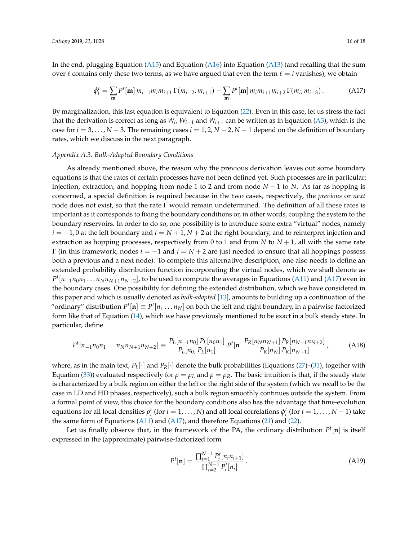In the end, plugging Equation [\(A15\)](#page-14-2) and Equation [\(A16\)](#page-14-3) into Equation [\(A13\)](#page-14-1) (and recalling that the sum over  $\ell$  contains only these two terms, as we have argued that even the term  $\ell = i$  vanishes), we obtain

<span id="page-15-0"></span>
$$
\dot{\phi}_i^t = \sum_{\mathbf{m}} P^t[\mathbf{m}] m_{i-1} \overline{m}_i m_{i+1} \Gamma(m_{i-2}, m_{i+1}) - \sum_{\mathbf{m}} P^t[\mathbf{m}] m_i m_{i+1} \overline{m}_{i+2} \Gamma(m_i, m_{i+3}). \tag{A17}
$$

By marginalization, this last equation is equivalent to Equation [\(22\)](#page-4-0). Even in this case, let us stress the fact that the derivation is correct as long as *W<sup>i</sup>* , *Wi*−<sup>1</sup> and *Wi*+<sup>1</sup> can be written as in Equation [\(A3\)](#page-13-6), which is the case for  $i = 3, \ldots, N - 3$ . The remaining cases  $i = 1, 2, N - 2, N - 1$  depend on the definition of boundary rates, which we discuss in the next paragraph.

#### *Appendix A.3. Bulk-Adapted Boundary Conditions*

As already mentioned above, the reason why the previous derivation leaves out some boundary equations is that the rates of certain processes have not been defined yet. Such processes are in particular: injection, extraction, and hopping from node 1 to 2 and from node *N* − 1 to *N*. As far as hopping is concerned, a special definition is required because in the two cases, respectively, the *previous* or *next* node does not exist, so that the rate  $\Gamma$  would remain undetermined. The definition of all these rates is important as it corresponds to fixing the boundary conditions or, in other words, coupling the system to the boundary reservoirs. In order to do so, one possibility is to introduce some extra "virtual" nodes, namely *i* = −1, 0 at the left boundary and *i* = *N* + 1, *N* + 2 at the right boundary, and to reinterpret injection and extraction as hopping processes, respectively from 0 to 1 and from *N* to  $N + 1$ , all with the same rate Γ (in this framework, nodes *i* = −1 and *i* = *N* + 2 are just needed to ensure that all hoppings possess both a previous and a next node). To complete this alternative description, one also needs to define an extended probability distribution function incorporating the virtual nodes, which we shall denote as  $P<sup>t</sup>[n_{-1}n_0n_1 \ldots n_Nn_{N+1}n_{N+2}]$ , to be used to compute the averages in Equations [\(A11\)](#page-14-4) and [\(A17\)](#page-15-0) even in the boundary cases. One possibility for defining the extended distribution, which we have considered in this paper and which is usually denoted as *bulk-adapted* [\[13\]](#page-16-9), amounts to building up a continuation of the "ordinary" distribution  $P^t[{\bf n}] \equiv P^t[n_1 \ldots n_N]$  on both the left and right boundary, in a pairwise factorized form like that of Equation [\(14\)](#page-3-0), which we have previously mentioned to be exact in a bulk steady state. In particular, define

<span id="page-15-2"></span>
$$
P^{t}[n_{-1}n_{0}n_{1}...n_{N}n_{N+1}n_{N+2}] \equiv \frac{P_{L}[n_{-1}n_{0}]}{P_{L}[n_{0}]} \frac{P_{L}[n_{0}n_{1}]}{P_{L}[n_{1}]} P^{t}[\mathbf{n}] \frac{P_{R}[n_{N}n_{N+1}]}{P_{R}[n_{N}]} \frac{P_{R}[n_{N+1}n_{N+2}]}{P_{R}[n_{N+1}]}, \qquad (A18)
$$

where, as in the main text, *PL*[·] and *PR*[·] denote the bulk probabilities (Equations [\(27\)](#page-4-6)–[\(31\)](#page-4-3), together with Equation [\(33\)](#page-5-2)) evaluated respectively for  $ρ = ρ<sub>L</sub>$  and  $ρ = ρ<sub>R</sub>$ . The basic intuition is that, if the steady state is characterized by a bulk region on either the left or the right side of the system (which we recall to be the case in LD and HD phases, respectively), such a bulk region smoothly continues outside the system. From a formal point of view, this choice for the boundary conditions also has the advantage that time-evolution equations for all local densities  $\rho_i^t$  (for  $i = 1, ..., N$ ) and all local correlations  $\phi_i^t$  (for  $i = 1, ..., N - 1$ ) take the same form of Equations [\(A11\)](#page-14-4) and [\(A17\)](#page-15-0), and therefore Equations [\(21\)](#page-4-4) and [\(22\)](#page-4-0).

Let us finally observe that, in the framework of the PA, the ordinary distribution *P t* [**n**] is itself expressed in the (approximate) pairwise-factorized form

<span id="page-15-1"></span>
$$
P^{t}[\mathbf{n}] = \frac{\prod_{i=1}^{N-1} P_{i}^{t}[n_{i}n_{i+1}]}{\prod_{i=2}^{N-1} P_{i}^{t}[n_{i}]}.
$$
\n(A19)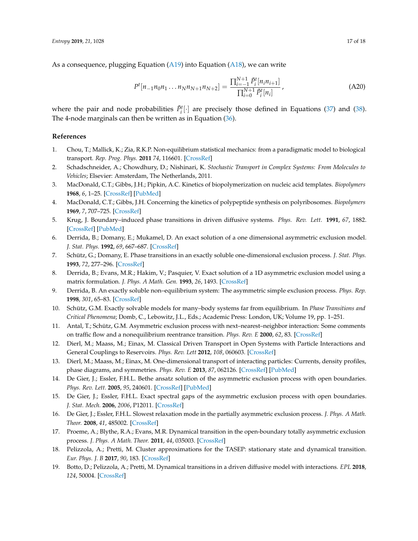As a consequence, plugging Equation [\(A19\)](#page-15-1) into Equation [\(A18\)](#page-15-2), we can write

$$
P^{t}[n_{-1}n_{0}n_{1}...n_{N}n_{N+1}n_{N+2}] = \frac{\prod_{i=-1}^{N+1} \tilde{P}_{i}^{t}[n_{i}n_{i+1}]}{\prod_{i=0}^{N+1} \tilde{P}_{i}^{t}[n_{i}]},
$$
\n(A20)

where the pair and node probabilities  $\tilde{P}_i^t[\cdot]$  are precisely those defined in Equations [\(37\)](#page-6-1) and [\(38\)](#page-6-2). The 4-node marginals can then be written as in Equation [\(36\)](#page-6-0).

## **References**

- <span id="page-16-0"></span>1. Chou, T.; Mallick, K.; Zia, R.K.P. Non-equilibrium statistical mechanics: from a paradigmatic model to biological transport. *Rep. Prog. Phys.* **2011** *74*, 116601. [\[CrossRef\]](http://dx.doi.org/10.1088/0034-4885/74/11/116601)
- <span id="page-16-1"></span>2. Schadschneider, A.; Chowdhury, D.; Nishinari, K. *Stochastic Transport in Complex Systems: From Molecules to Vehicles*; Elsevier: Amsterdam, The Netherlands, 2011.
- <span id="page-16-2"></span>3. MacDonald, C.T.; Gibbs, J.H.; Pipkin, A.C. Kinetics of biopolymerization on nucleic acid templates. *Biopolymers* **1968**, *6*, 1–25. [\[CrossRef\]](http://dx.doi.org/10.1002/bip.1968.360060102) [\[PubMed\]](http://www.ncbi.nlm.nih.gov/pubmed/5641411)
- <span id="page-16-3"></span>4. MacDonald, C.T.; Gibbs, J.H. Concerning the kinetics of polypeptide synthesis on polyribosomes. *Biopolymers* **1969**, *7*, 707–725. [\[CrossRef\]](http://dx.doi.org/10.1002/bip.1969.360070508)
- <span id="page-16-4"></span>5. Krug, J. Boundary–induced phase transitions in driven diffusive systems. *Phys. Rev. Lett.* **1991**, *67*, 1882. [\[CrossRef\]](http://dx.doi.org/10.1103/PhysRevLett.67.1882) [\[PubMed\]](http://www.ncbi.nlm.nih.gov/pubmed/10044275)
- <span id="page-16-5"></span>6. Derrida, B.; Domany, E.; Mukamel, D. An exact solution of a one dimensional asymmetric exclusion model. *J. Stat. Phys.* **1992**, *69*, 667–687. [\[CrossRef\]](http://dx.doi.org/10.1007/BF01050430)
- 7. Schütz, G.; Domany, E. Phase transitions in an exactly soluble one-dimensional exclusion process. *J. Stat. Phys.* **1993**, *72*, 277–296. [\[CrossRef\]](http://dx.doi.org/10.1007/BF01048050)
- 8. Derrida, B.; Evans, M.R.; Hakim, V.; Pasquier, V. Exact solution of a 1D asymmetric exclusion model using a matrix formulation. *J. Phys. A Math. Gen.* **1993**, *26*, 1493. [\[CrossRef\]](http://dx.doi.org/10.1088/0305-4470/26/7/011)
- <span id="page-16-6"></span>9. Derrida, B. An exactly soluble non–equilibrium system: The asymmetric simple exclusion process. *Phys. Rep.* **1998**, *301*, 65–83. [\[CrossRef\]](http://dx.doi.org/10.1016/S0370-1573(98)00006-4)
- <span id="page-16-7"></span>10. Schütz, G.M. Exactly solvable models for many–body systems far from equilibrium. In *Phase Transitions and Critical Phenomena*; Domb, C., Lebowitz, J.L., Eds.; Academic Press: London, UK; Volume 19, pp. 1–251.
- <span id="page-16-8"></span>11. Antal, T.; Schütz, G.M. Asymmetric exclusion process with next–nearest–neighbor interaction: Some comments on traffic flow and a nonequilibrium reentrance transition. *Phys. Rev. E* **2000**, *62*, 83. [\[CrossRef\]](http://dx.doi.org/10.1103/PhysRevE.62.83)
- <span id="page-16-15"></span>12. Dierl, M.; Maass, M.; Einax, M. Classical Driven Transport in Open Systems with Particle Interactions and General Couplings to Reservoirs. *Phys. Rev. Lett* **2012**, *108*, 060603. [\[CrossRef\]](http://dx.doi.org/10.1103/PhysRevLett.108.060603)
- <span id="page-16-9"></span>13. Dierl, M.; Maass, M.; Einax, M. One-dimensional transport of interacting particles: Currents, density profiles, phase diagrams, and symmetries. *Phys. Rev. E* **2013**, *87*, 062126. [\[CrossRef\]](http://dx.doi.org/10.1103/PhysRevE.87.062126) [\[PubMed\]](http://www.ncbi.nlm.nih.gov/pubmed/23848646)
- <span id="page-16-10"></span>14. De Gier, J.; Essler, F.H.L. Bethe ansatz solution of the asymmetric exclusion process with open boundaries. *Phys. Rev. Lett.* **2005**, *95*, 240601. [\[CrossRef\]](http://dx.doi.org/10.1103/PhysRevLett.95.240601) [\[PubMed\]](http://www.ncbi.nlm.nih.gov/pubmed/16384362)
- 15. De Gier, J.; Essler, F.H.L. Exact spectral gaps of the asymmetric exclusion process with open boundaries. *J. Stat. Mech.* **2006**, *2006*, P12011. [\[CrossRef\]](http://dx.doi.org/10.1088/1742-5468/2006/12/P12011)
- <span id="page-16-11"></span>16. De Gier, J.; Essler, F.H.L. Slowest relaxation mode in the partially asymmetric exclusion process. *J. Phys. A Math. Theor.* **2008**, *41*, 485002. [\[CrossRef\]](http://dx.doi.org/10.1088/1751-8113/41/48/485002)
- <span id="page-16-12"></span>17. Proeme, A.; Blythe, R.A.; Evans, M.R. Dynamical transition in the open-boundary totally asymmetric exclusion process. *J. Phys. A Math. Theor.* **2011**, *44*, 035003. [\[CrossRef\]](http://dx.doi.org/10.1088/1751-8113/44/3/035003)
- <span id="page-16-13"></span>18. Pelizzola, A.; Pretti, M. Cluster approximations for the TASEP: stationary state and dynamical transition. *Eur. Phys. J. B* **2017**, *90*, 183. [\[CrossRef\]](http://dx.doi.org/10.1140/epjb/e2017-80248-7)
- <span id="page-16-14"></span>19. Botto, D.; Pelizzola, A.; Pretti, M. Dynamical transitions in a driven diffusive model with interactions. *EPL* **2018**, *124*, 50004. [\[CrossRef\]](http://dx.doi.org/10.1209/0295-5075/124/50004)